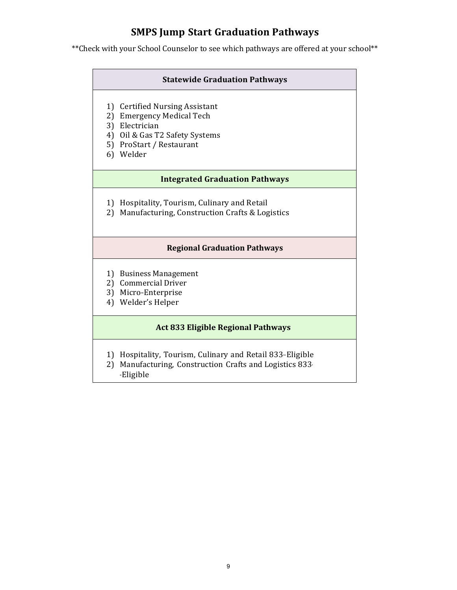## **SMPS Jump Start Graduation Pathways**

\*\*Check with your School Counselor to see which pathways are offered at your school\*\*

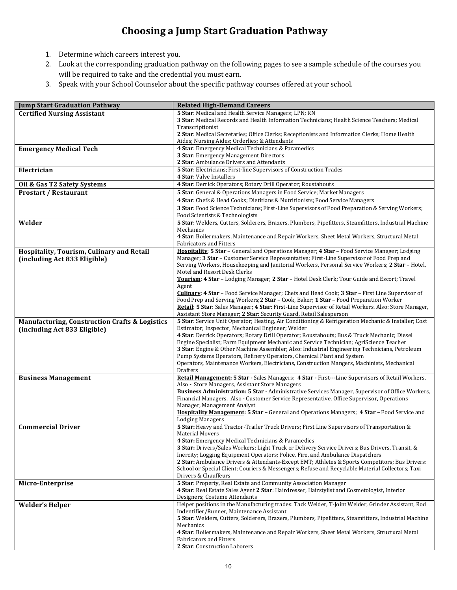## **Choosing a Jump Start Graduation Pathway**

- 1. Determine which careers interest you.
- 2. Look at the corresponding graduation pathway on the following pages to see a sample schedule of the courses you will be required to take and the credential you must earn.
- 3. Speak with your School Counselor about the specific pathway courses offered at your school.

| <b>Jump Start Graduation Pathway</b>                      | <b>Related High-Demand Careers</b>                                                                                                                                                           |
|-----------------------------------------------------------|----------------------------------------------------------------------------------------------------------------------------------------------------------------------------------------------|
| <b>Certified Nursing Assistant</b>                        | 5 Star: Medical and Health Service Managers; LPN; RN                                                                                                                                         |
|                                                           | 3 Star: Medical Records and Health Information Technicians; Health Science Teachers; Medical                                                                                                 |
|                                                           | Transcriptionist                                                                                                                                                                             |
|                                                           | 2 Star: Medical Secretaries; Office Clerks; Receptionists and Information Clerks; Home Health                                                                                                |
|                                                           | Aides; Nursing Aides; Orderlies; & Attendants                                                                                                                                                |
| <b>Emergency Medical Tech</b>                             | 4 Star: Emergency Medical Technicians & Paramedics                                                                                                                                           |
|                                                           | 3 Star: Emergency Management Directors<br>2 Star: Ambulance Drivers and Attendants                                                                                                           |
| Electrician                                               | 5 Star: Electricians; First-line Supervisors of Construction Trades                                                                                                                          |
|                                                           | 4 Star: Valve Installers                                                                                                                                                                     |
| Oil & Gas T2 Safety Systems                               | 4 Star: Derrick Operators; Rotary Drill Operator; Roustabouts                                                                                                                                |
| <b>Prostart / Restaurant</b>                              | 5 Star: General & Operations Managers in Food Service; Market Managers                                                                                                                       |
|                                                           | 4 Star: Chefs & Head Cooks; Dietitians & Nutritionists; Food Service Managers                                                                                                                |
|                                                           | 3 Star: Food Science Technicians; First-Line Supervisors of Food Preparation & Serving Workers;                                                                                              |
|                                                           | Food Scientists & Technologists                                                                                                                                                              |
| Welder                                                    | 5 Star: Welders, Cutters, Solderers, Brazers, Plumbers, Pipefitters, Steamfitters, Industrial Machine                                                                                        |
|                                                           | Mechanics                                                                                                                                                                                    |
|                                                           | 4 Star: Boilermakers, Maintenance and Repair Workers, Sheet Metal Workers, Structural Metal                                                                                                  |
|                                                           | <b>Fabricators and Fitters</b>                                                                                                                                                               |
| Hospitality, Tourism, Culinary and Retail                 | Hospitality: 5 Star - General and Operations Manager; 4 Star - Food Service Manager; Lodging                                                                                                 |
| (including Act 833 Eligible)                              | Manager; 3 Star - Customer Service Representative; First-Line Supervisor of Food Prep and<br>Serving Workers, Housekeeping and Janitorial Workers, Personal Service Workers; 2 Star - Hotel, |
|                                                           | Motel and Resort Desk Clerks                                                                                                                                                                 |
|                                                           | Tourism: 4 Star - Lodging Manager; 2 Star - Hotel Desk Clerk; Tour Guide and Escort; Travel                                                                                                  |
|                                                           | Agent                                                                                                                                                                                        |
|                                                           | <b>Culinary: 4 Star</b> - Food Service Manager; Chefs and Head Cook; 3 Star - First Line Supervisor of                                                                                       |
|                                                           | Food Prep and Serving Workers; 2 Star - Cook, Baker; 1 Star - Food Preparation Worker                                                                                                        |
|                                                           | Retail: 5 Star: Sales Manager; 4 Star: First-Line Supervisor of Retail Workers. Also: Store Manager,                                                                                         |
|                                                           | Assistant Store Manager; 2 Star: Security Guard, Retail Salesperson                                                                                                                          |
| <b>Manufacturing, Construction Crafts &amp; Logistics</b> | 5 Star: Service Unit Operator; Heating, Air Conditioning & Refrigeration Mechanic & Installer; Cost                                                                                          |
| (including Act 833 Eligible)                              | Estimator; Inspector, Mechanical Engineer; Welder<br>4 Star: Derrick Operators; Rotary Drill Operator; Roustabouts; Bus & Truck Mechanic; Diesel                                             |
|                                                           | Engine Specialist; Farm Equipment Mechanic and Service Technician; AgriScience Teacher                                                                                                       |
|                                                           | 3 Star: Engine & Other Machine Assembler; Also: Industrial Engineering Technicians, Petroleum                                                                                                |
|                                                           | Pump Systems Operators, Refinery Operators, Chemical Plant and System                                                                                                                        |
|                                                           | Operators, Maintenance Workers, Electricians, Construction Mangers, Machinists, Mechanical                                                                                                   |
|                                                           | <b>Drafters</b>                                                                                                                                                                              |
| <b>Business Management</b>                                | Retail Management: 5 Star - Sales Managers; 4 Star - First---Line Supervisors of Retail Workers.                                                                                             |
|                                                           | Also - Store Managers, Assistant Store Managers<br>Business Administration: 5 Star - Administrative Services Manager, Supervisor of Office Workers,                                          |
|                                                           | Financial Managers. Also - Customer Service Representative, Office Supervisor, Operations                                                                                                    |
|                                                           | Manager, Management Analyst                                                                                                                                                                  |
|                                                           | Hospitality Management: 5 Star - General and Operations Managers; 4 Star - Food Service and                                                                                                  |
|                                                           | <b>Lodging Managers</b>                                                                                                                                                                      |
| <b>Commercial Driver</b>                                  | 5 Star: Heavy and Tractor-Trailer Truck Drivers; First Line Supervisors of Transportation &                                                                                                  |
|                                                           | Material Movers                                                                                                                                                                              |
|                                                           | 4 Star: Emergency Medical Technicians & Paramedics                                                                                                                                           |
|                                                           | 3 Star: Drivers/Sales Workers; Light Truck or Delivery Service Drivers; Bus Drivers, Transit, &<br>Inercity; Logging Equipment Operators; Police, Fire, and Ambulance Dispatchers            |
|                                                           | 2 Star: Ambulance Drivers & Attendants-Except EMT; Athletes & Sports Competitors; Bus Drivers:                                                                                               |
|                                                           | School or Special Client; Couriers & Messengers; Refuse and Recyclable Material Collectors; Taxi                                                                                             |
|                                                           | Drivers & Chauffeurs                                                                                                                                                                         |
| Micro-Enterprise                                          | 5 Star: Property, Real Estate and Community Association Manager                                                                                                                              |
|                                                           | 4 Star: Real Estate Sales Agent 2 Star: Hairdresser, Hairstylist and Cosmetologist, Interior                                                                                                 |
|                                                           | Designers; Costume Attendants                                                                                                                                                                |
| <b>Welder's Helper</b>                                    | Helper positions in the Manufacturing trades: Tack Welder, T-Joint Welder, Grinder Assistant, Rod                                                                                            |
|                                                           | Indentifier/Runner, Maintenance Assistant                                                                                                                                                    |
|                                                           | 5 Star: Welders, Cutters, Solderers, Brazers, Plumbers, Pipefitters, Steamfitters, Industrial Machine<br>Mechanics                                                                           |
|                                                           | 4 Star: Boilermakers, Maintenance and Repair Workers, Sheet Metal Workers, Structural Metal                                                                                                  |
|                                                           | <b>Fabricators and Fitters</b>                                                                                                                                                               |
|                                                           | 2 Star: Construction Laborers                                                                                                                                                                |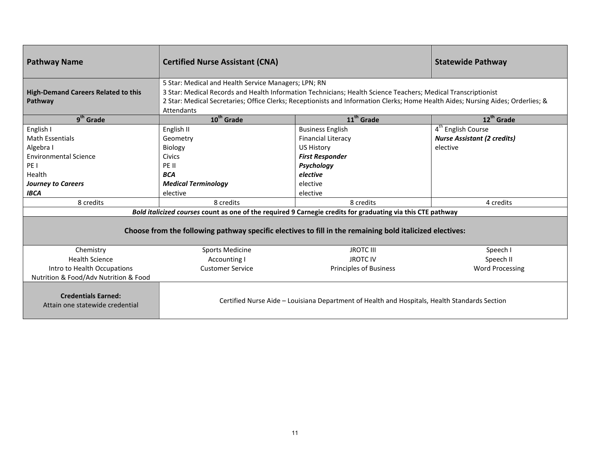| <b>Pathway Name</b>                                                                                                                                         | <b>Certified Nurse Assistant (CNA)</b>                                                                                                                                                                                                                                                                                  |                                                                                                                                                                                                                                                                                   | <b>Statewide Pathway</b>                                                                      |
|-------------------------------------------------------------------------------------------------------------------------------------------------------------|-------------------------------------------------------------------------------------------------------------------------------------------------------------------------------------------------------------------------------------------------------------------------------------------------------------------------|-----------------------------------------------------------------------------------------------------------------------------------------------------------------------------------------------------------------------------------------------------------------------------------|-----------------------------------------------------------------------------------------------|
| <b>High-Demand Careers Related to this</b><br>Pathway                                                                                                       | 5 Star: Medical and Health Service Managers; LPN; RN<br>3 Star: Medical Records and Health Information Technicians; Health Science Teachers; Medical Transcriptionist<br>2 Star: Medical Secretaries; Office Clerks; Receptionists and Information Clerks; Home Health Aides; Nursing Aides; Orderlies; &<br>Attendants |                                                                                                                                                                                                                                                                                   |                                                                                               |
| 9 <sup>th</sup> Grade                                                                                                                                       | 10 <sup>th</sup> Grade                                                                                                                                                                                                                                                                                                  | $11th$ Grade                                                                                                                                                                                                                                                                      | $12^{th}$ Grade                                                                               |
| English I<br><b>Math Essentials</b><br>Algebra I<br><b>Environmental Science</b><br>PE I<br>Health<br><b>Journey to Careers</b><br><b>IBCA</b><br>8 credits | English II<br>Geometry<br>Biology<br>Civics<br>PE II<br><b>BCA</b><br><b>Medical Terminology</b><br>elective<br>8 credits                                                                                                                                                                                               | <b>Business English</b><br><b>Financial Literacy</b><br><b>US History</b><br><b>First Responder</b><br>Psychology<br>elective<br>elective<br>elective<br>8 credits<br>Bold italicized courses count as one of the required 9 Carnegie credits for graduating via this CTE pathway | 4 <sup>th</sup> English Course<br><b>Nurse Assistant (2 credits)</b><br>elective<br>4 credits |
| Choose from the following pathway specific electives to fill in the remaining bold italicized electives:                                                    |                                                                                                                                                                                                                                                                                                                         |                                                                                                                                                                                                                                                                                   |                                                                                               |
| Chemistry                                                                                                                                                   | <b>Sports Medicine</b>                                                                                                                                                                                                                                                                                                  | <b>JROTC III</b>                                                                                                                                                                                                                                                                  | Speech I                                                                                      |
| <b>Health Science</b>                                                                                                                                       | <b>Accounting I</b>                                                                                                                                                                                                                                                                                                     | <b>JROTC IV</b>                                                                                                                                                                                                                                                                   | Speech II                                                                                     |
| Intro to Health Occupations<br>Nutrition & Food/Adv Nutrition & Food                                                                                        | <b>Customer Service</b>                                                                                                                                                                                                                                                                                                 | <b>Principles of Business</b>                                                                                                                                                                                                                                                     | <b>Word Processing</b>                                                                        |
| <b>Credentials Earned:</b><br>Attain one statewide credential                                                                                               |                                                                                                                                                                                                                                                                                                                         | Certified Nurse Aide - Louisiana Department of Health and Hospitals, Health Standards Section                                                                                                                                                                                     |                                                                                               |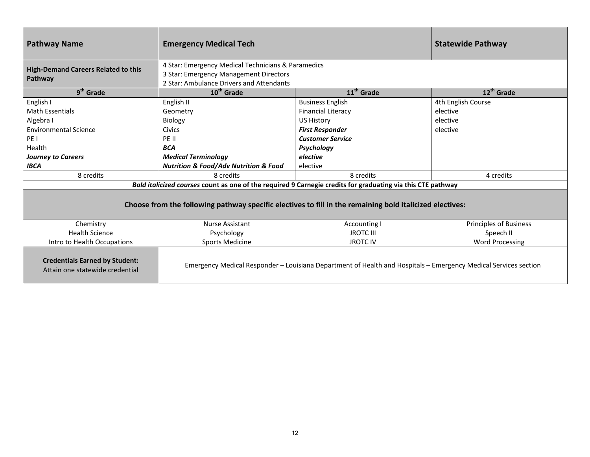| <b>Pathway Name</b>                                                                                      | <b>Emergency Medical Tech</b>                                                                               |                                                                                                                 | <b>Statewide Pathway</b> |
|----------------------------------------------------------------------------------------------------------|-------------------------------------------------------------------------------------------------------------|-----------------------------------------------------------------------------------------------------------------|--------------------------|
| <b>High-Demand Careers Related to this</b>                                                               | 4 Star: Emergency Medical Technicians & Paramedics<br>3 Star: Emergency Management Directors                |                                                                                                                 |                          |
| Pathway                                                                                                  | 2 Star: Ambulance Drivers and Attendants                                                                    |                                                                                                                 |                          |
| 9 <sup>th</sup> Grade                                                                                    | 10 <sup>th</sup> Grade                                                                                      | $11th$ Grade                                                                                                    | 12 <sup>th</sup> Grade   |
| English I                                                                                                | English II                                                                                                  | <b>Business English</b>                                                                                         | 4th English Course       |
| <b>Math Essentials</b>                                                                                   | Geometry                                                                                                    | <b>Financial Literacy</b>                                                                                       | elective                 |
| Algebra I                                                                                                | Biology                                                                                                     | US History                                                                                                      | elective                 |
| <b>Environmental Science</b>                                                                             | <b>Civics</b>                                                                                               | <b>First Responder</b>                                                                                          | elective                 |
| PE <sub>1</sub>                                                                                          | PE II                                                                                                       | <b>Customer Service</b>                                                                                         |                          |
| Health                                                                                                   | <b>BCA</b>                                                                                                  | Psychology                                                                                                      |                          |
| <b>Journey to Careers</b>                                                                                | <b>Medical Terminology</b>                                                                                  | elective                                                                                                        |                          |
| <b>IBCA</b>                                                                                              | <b>Nutrition &amp; Food/Adv Nutrition &amp; Food</b>                                                        | elective                                                                                                        |                          |
| 8 credits                                                                                                | 8 credits                                                                                                   | 8 credits                                                                                                       | 4 credits                |
|                                                                                                          | Bold italicized courses count as one of the required 9 Carnegie credits for graduating via this CTE pathway |                                                                                                                 |                          |
| Choose from the following pathway specific electives to fill in the remaining bold italicized electives: |                                                                                                             |                                                                                                                 |                          |
| Chemistry                                                                                                | <b>Nurse Assistant</b>                                                                                      | <b>Accounting I</b>                                                                                             | Principles of Business   |
| <b>Health Science</b>                                                                                    | Psychology                                                                                                  | <b>JROTC III</b>                                                                                                | Speech II                |
| Intro to Health Occupations                                                                              | <b>Sports Medicine</b>                                                                                      | <b>JROTC IV</b>                                                                                                 | <b>Word Processing</b>   |
| <b>Credentials Earned by Student:</b><br>Attain one statewide credential                                 |                                                                                                             | Emergency Medical Responder – Louisiana Department of Health and Hospitals – Emergency Medical Services section |                          |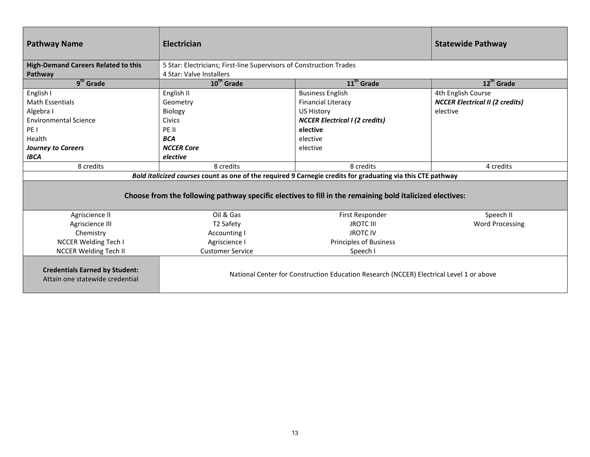| <b>Pathway Name</b>                                                                                         | Electrician                                                         |                                                                                         | <b>Statewide Pathway</b>               |
|-------------------------------------------------------------------------------------------------------------|---------------------------------------------------------------------|-----------------------------------------------------------------------------------------|----------------------------------------|
| <b>High-Demand Careers Related to this</b>                                                                  | 5 Star: Electricians; First-line Supervisors of Construction Trades |                                                                                         |                                        |
| Pathway                                                                                                     | 4 Star: Valve Installers                                            |                                                                                         |                                        |
| $9th$ Grade                                                                                                 | $10^{th}$ Grade                                                     | 11 <sup>th</sup> Grade                                                                  | $12^{th}$ Grade                        |
| English I                                                                                                   | English II                                                          | <b>Business English</b>                                                                 | 4th English Course                     |
| <b>Math Essentials</b>                                                                                      | Geometry                                                            | <b>Financial Literacy</b>                                                               | <b>NCCER Electrical II (2 credits)</b> |
| Algebra I                                                                                                   | Biology                                                             | <b>US History</b>                                                                       | elective                               |
| <b>Environmental Science</b>                                                                                | <b>Civics</b>                                                       | <b>NCCER Electrical I (2 credits)</b>                                                   |                                        |
| PE I                                                                                                        | PE II                                                               | elective                                                                                |                                        |
| Health                                                                                                      | <b>BCA</b>                                                          | elective                                                                                |                                        |
| <b>Journey to Careers</b>                                                                                   | <b>NCCER Core</b>                                                   | elective                                                                                |                                        |
| <b>IBCA</b>                                                                                                 | elective                                                            |                                                                                         |                                        |
| 8 credits                                                                                                   | 8 credits                                                           | 8 credits                                                                               | 4 credits                              |
| Bold italicized courses count as one of the required 9 Carnegie credits for graduating via this CTE pathway |                                                                     |                                                                                         |                                        |
| Choose from the following pathway specific electives to fill in the remaining bold italicized electives:    |                                                                     |                                                                                         |                                        |
| Agriscience II                                                                                              | Oil & Gas                                                           | First Responder                                                                         | Speech II                              |
| Agriscience III                                                                                             | T2 Safety                                                           | <b>JROTC III</b>                                                                        | <b>Word Processing</b>                 |
| Chemistry                                                                                                   | Accounting I                                                        | <b>JROTC IV</b>                                                                         |                                        |
| <b>NCCER Welding Tech I</b>                                                                                 | Agriscience I                                                       | <b>Principles of Business</b>                                                           |                                        |
| <b>NCCER Welding Tech II</b>                                                                                | <b>Customer Service</b>                                             | Speech I                                                                                |                                        |
| <b>Credentials Earned by Student:</b><br>Attain one statewide credential                                    |                                                                     | National Center for Construction Education Research (NCCER) Electrical Level 1 or above |                                        |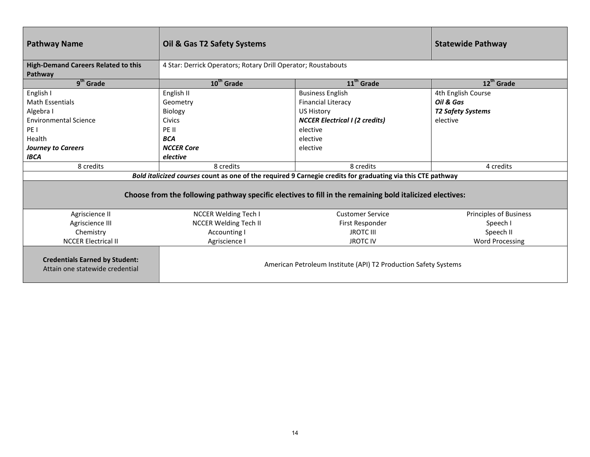| <b>Pathway Name</b>                                                                                      | Oil & Gas T2 Safety Systems                                     |                                                                                                             | <b>Statewide Pathway</b>      |  |
|----------------------------------------------------------------------------------------------------------|-----------------------------------------------------------------|-------------------------------------------------------------------------------------------------------------|-------------------------------|--|
| <b>High-Demand Careers Related to this</b>                                                               |                                                                 | 4 Star: Derrick Operators; Rotary Drill Operator; Roustabouts                                               |                               |  |
| Pathway<br>$9th$ Grade                                                                                   | 10 <sup>th</sup> Grade                                          | $11th$ Grade                                                                                                | 12 <sup>th</sup> Grade        |  |
| English I                                                                                                | English II                                                      | <b>Business English</b>                                                                                     | 4th English Course            |  |
| <b>Math Essentials</b>                                                                                   | Geometry                                                        | <b>Financial Literacy</b>                                                                                   | Oil & Gas                     |  |
| Algebra I                                                                                                | Biology                                                         | <b>US History</b>                                                                                           | <b>T2 Safety Systems</b>      |  |
| <b>Environmental Science</b>                                                                             | <b>Civics</b>                                                   | <b>NCCER Electrical I (2 credits)</b>                                                                       | elective                      |  |
| PE <sub>1</sub>                                                                                          | PE II                                                           | elective                                                                                                    |                               |  |
| Health                                                                                                   | <b>BCA</b>                                                      | elective                                                                                                    |                               |  |
| <b>Journey to Careers</b>                                                                                | <b>NCCER Core</b>                                               | elective                                                                                                    |                               |  |
| <b>IBCA</b>                                                                                              | elective                                                        |                                                                                                             |                               |  |
| 8 credits                                                                                                | 8 credits                                                       | 8 credits                                                                                                   | 4 credits                     |  |
|                                                                                                          |                                                                 | Bold italicized courses count as one of the required 9 Carnegie credits for graduating via this CTE pathway |                               |  |
| Choose from the following pathway specific electives to fill in the remaining bold italicized electives: |                                                                 |                                                                                                             |                               |  |
| Agriscience II                                                                                           | <b>NCCER Welding Tech I</b>                                     | <b>Customer Service</b>                                                                                     | <b>Principles of Business</b> |  |
| Agriscience III                                                                                          | <b>NCCER Welding Tech II</b>                                    | First Responder                                                                                             | Speech I                      |  |
| Chemistry                                                                                                | Accounting I                                                    | <b>JROTC III</b>                                                                                            | Speech II                     |  |
| <b>NCCER Electrical II</b>                                                                               | Agriscience I                                                   | <b>JROTC IV</b>                                                                                             | <b>Word Processing</b>        |  |
| <b>Credentials Earned by Student:</b><br>Attain one statewide credential                                 | American Petroleum Institute (API) T2 Production Safety Systems |                                                                                                             |                               |  |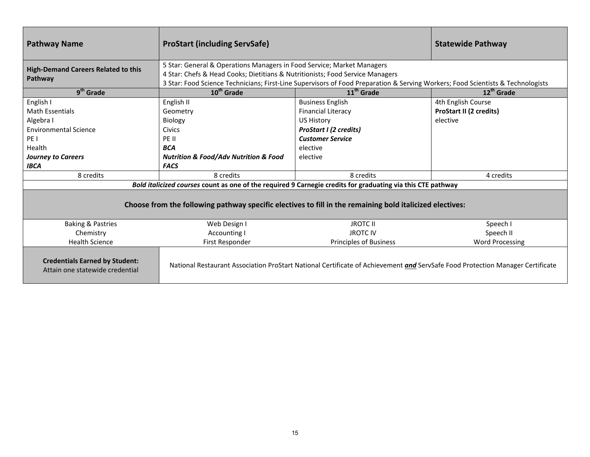| <b>Pathway Name</b>                                                                                      | <b>ProStart (including ServSafe)</b>                                                                                                                    |                                                                                                                                 | <b>Statewide Pathway</b>       |
|----------------------------------------------------------------------------------------------------------|---------------------------------------------------------------------------------------------------------------------------------------------------------|---------------------------------------------------------------------------------------------------------------------------------|--------------------------------|
| <b>High-Demand Careers Related to this</b>                                                               | 5 Star: General & Operations Managers in Food Service; Market Managers<br>4 Star: Chefs & Head Cooks; Dietitians & Nutritionists; Food Service Managers |                                                                                                                                 |                                |
| Pathway                                                                                                  |                                                                                                                                                         | 3 Star: Food Science Technicians; First-Line Supervisors of Food Preparation & Serving Workers; Food Scientists & Technologists |                                |
| 9 <sup>th</sup> Grade                                                                                    | 10 <sup>th</sup> Grade                                                                                                                                  | 11 <sup>th</sup> Grade                                                                                                          | 12 <sup>th</sup> Grade         |
| English I                                                                                                | English II                                                                                                                                              | <b>Business English</b>                                                                                                         | 4th English Course             |
| <b>Math Essentials</b>                                                                                   | Geometry                                                                                                                                                | <b>Financial Literacy</b>                                                                                                       | <b>ProStart II (2 credits)</b> |
| Algebra I                                                                                                | <b>Biology</b>                                                                                                                                          | <b>US History</b>                                                                                                               | elective                       |
| <b>Environmental Science</b>                                                                             | Civics                                                                                                                                                  | <b>ProStart I (2 credits)</b>                                                                                                   |                                |
| PE <sub>1</sub>                                                                                          | PE II                                                                                                                                                   | <b>Customer Service</b>                                                                                                         |                                |
| Health                                                                                                   | <b>BCA</b>                                                                                                                                              | elective                                                                                                                        |                                |
| <b>Journey to Careers</b>                                                                                | <b>Nutrition &amp; Food/Adv Nutrition &amp; Food</b>                                                                                                    | elective                                                                                                                        |                                |
| <b>IBCA</b>                                                                                              | <b>FACS</b>                                                                                                                                             |                                                                                                                                 |                                |
| 8 credits                                                                                                | 8 credits                                                                                                                                               | 8 credits                                                                                                                       | 4 credits                      |
|                                                                                                          |                                                                                                                                                         | Bold italicized courses count as one of the required 9 Carnegie credits for graduating via this CTE pathway                     |                                |
| Choose from the following pathway specific electives to fill in the remaining bold italicized electives: |                                                                                                                                                         |                                                                                                                                 |                                |
| <b>Baking &amp; Pastries</b>                                                                             | Web Design I                                                                                                                                            | <b>JROTC II</b>                                                                                                                 | Speech I                       |
| Chemistry                                                                                                | Accounting I                                                                                                                                            | <b>JROTC IV</b>                                                                                                                 | Speech II                      |
| <b>Health Science</b>                                                                                    | First Responder                                                                                                                                         | <b>Principles of Business</b>                                                                                                   | <b>Word Processing</b>         |
| <b>Credentials Earned by Student:</b><br>Attain one statewide credential                                 |                                                                                                                                                         | National Restaurant Association ProStart National Certificate of Achievement and ServSafe Food Protection Manager Certificate   |                                |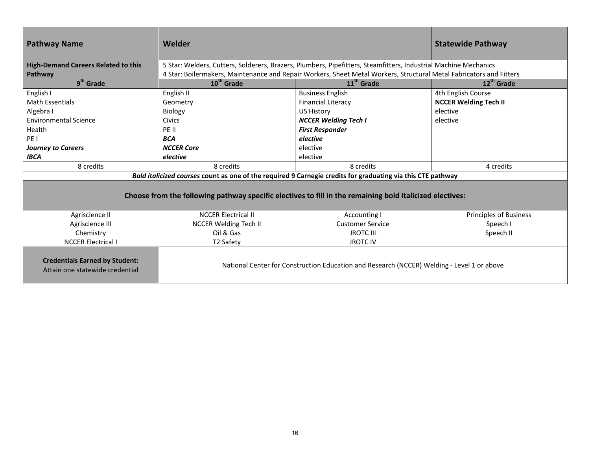| <b>Pathway Name</b>                                                                                         | Welder                       |                                                                                                                     | <b>Statewide Pathway</b>      |
|-------------------------------------------------------------------------------------------------------------|------------------------------|---------------------------------------------------------------------------------------------------------------------|-------------------------------|
| <b>High-Demand Careers Related to this</b>                                                                  |                              | 5 Star: Welders, Cutters, Solderers, Brazers, Plumbers, Pipefitters, Steamfitters, Industrial Machine Mechanics     |                               |
| Pathway                                                                                                     |                              | 4 Star: Boilermakers, Maintenance and Repair Workers, Sheet Metal Workers, Structural Metal Fabricators and Fitters |                               |
| 9 <sup>th</sup> Grade                                                                                       | 10 <sup>th</sup> Grade       | 11 <sup>th</sup> Grade                                                                                              | 12 <sup>th</sup> Grade        |
| English I                                                                                                   | English II                   | <b>Business English</b>                                                                                             | 4th English Course            |
| <b>Math Essentials</b>                                                                                      | Geometry                     | <b>Financial Literacy</b>                                                                                           | <b>NCCER Welding Tech II</b>  |
| Algebra I                                                                                                   | <b>Biology</b>               | <b>US History</b>                                                                                                   | elective                      |
| <b>Environmental Science</b>                                                                                | Civics                       | <b>NCCER Welding Tech I</b>                                                                                         | elective                      |
| Health                                                                                                      | PE II                        | <b>First Responder</b>                                                                                              |                               |
| PE <sub>1</sub>                                                                                             | <b>BCA</b>                   | elective                                                                                                            |                               |
| <b>Journey to Careers</b>                                                                                   | <b>NCCER Core</b>            | elective                                                                                                            |                               |
| <b>IBCA</b>                                                                                                 | elective                     | elective                                                                                                            |                               |
| 8 credits                                                                                                   | 8 credits                    | 8 credits                                                                                                           | 4 credits                     |
| Bold italicized courses count as one of the required 9 Carnegie credits for graduating via this CTE pathway |                              |                                                                                                                     |                               |
| Choose from the following pathway specific electives to fill in the remaining bold italicized electives:    |                              |                                                                                                                     |                               |
| Agriscience II                                                                                              | <b>NCCER Electrical II</b>   | Accounting I                                                                                                        | <b>Principles of Business</b> |
| Agriscience III                                                                                             | <b>NCCER Welding Tech II</b> | <b>Customer Service</b>                                                                                             | Speech I                      |
| Chemistry                                                                                                   | Oil & Gas                    | <b>JROTC III</b>                                                                                                    | Speech II                     |
| <b>NCCER Electrical I</b>                                                                                   | T2 Safety                    | <b>JROTC IV</b>                                                                                                     |                               |
| <b>Credentials Earned by Student:</b><br>Attain one statewide credential                                    |                              | National Center for Construction Education and Research (NCCER) Welding - Level 1 or above                          |                               |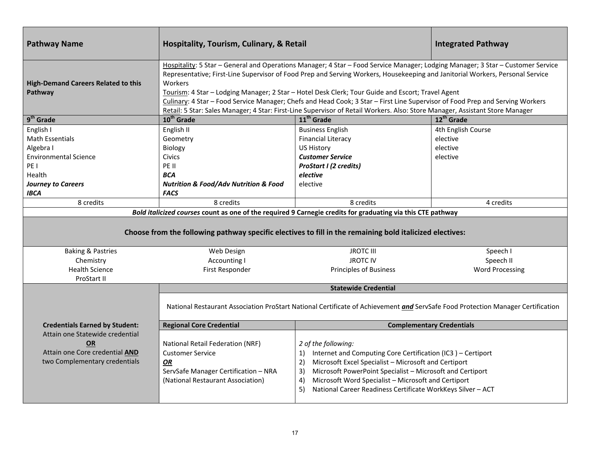| <b>Pathway Name</b>                                                                                                                                                    | Hospitality, Tourism, Culinary, & Retail                                                                                                                                                                                                                                                                                                                                                                                                                                                                                                                                                                                                          |                                                                                                                                                                                                                                                                                                                                                             | <b>Integrated Pathway</b>                                           |
|------------------------------------------------------------------------------------------------------------------------------------------------------------------------|---------------------------------------------------------------------------------------------------------------------------------------------------------------------------------------------------------------------------------------------------------------------------------------------------------------------------------------------------------------------------------------------------------------------------------------------------------------------------------------------------------------------------------------------------------------------------------------------------------------------------------------------------|-------------------------------------------------------------------------------------------------------------------------------------------------------------------------------------------------------------------------------------------------------------------------------------------------------------------------------------------------------------|---------------------------------------------------------------------|
| <b>High-Demand Careers Related to this</b><br>Pathway                                                                                                                  | Hospitality: 5 Star - General and Operations Manager; 4 Star - Food Service Manager; Lodging Manager; 3 Star - Customer Service<br>Representative; First-Line Supervisor of Food Prep and Serving Workers, Housekeeping and Janitorial Workers, Personal Service<br>Workers<br>Tourism: 4 Star - Lodging Manager; 2 Star - Hotel Desk Clerk; Tour Guide and Escort; Travel Agent<br>Culinary: 4 Star - Food Service Manager; Chefs and Head Cook; 3 Star - First Line Supervisor of Food Prep and Serving Workers<br>Retail: 5 Star: Sales Manager; 4 Star: First-Line Supervisor of Retail Workers. Also: Store Manager, Assistant Store Manager |                                                                                                                                                                                                                                                                                                                                                             |                                                                     |
| 9 <sup>th</sup> Grade                                                                                                                                                  | $10th$ Grade                                                                                                                                                                                                                                                                                                                                                                                                                                                                                                                                                                                                                                      | 11 <sup>th</sup> Grade                                                                                                                                                                                                                                                                                                                                      | 12 <sup>th</sup> Grade                                              |
| English I<br><b>Math Essentials</b><br>Algebra I<br><b>Environmental Science</b><br>PE <sub>1</sub><br>Health<br><b>Journey to Careers</b><br><b>IBCA</b><br>8 credits | English II<br>Geometry<br>Biology<br><b>Civics</b><br>PE II<br><b>BCA</b><br><b>Nutrition &amp; Food/Adv Nutrition &amp; Food</b><br><b>FACS</b><br>8 credits<br>Bold italicized courses count as one of the required 9 Carnegie credits for graduating via this CTE pathway                                                                                                                                                                                                                                                                                                                                                                      | <b>Business English</b><br><b>Financial Literacy</b><br><b>US History</b><br><b>Customer Service</b><br><b>ProStart I (2 credits)</b><br>elective<br>elective<br>8 credits                                                                                                                                                                                  | 4th English Course<br>elective<br>elective<br>elective<br>4 credits |
|                                                                                                                                                                        | Choose from the following pathway specific electives to fill in the remaining bold italicized electives:                                                                                                                                                                                                                                                                                                                                                                                                                                                                                                                                          |                                                                                                                                                                                                                                                                                                                                                             |                                                                     |
| <b>Baking &amp; Pastries</b><br>Chemistry<br><b>Health Science</b><br>ProStart II                                                                                      | Web Design<br>Accounting I<br>First Responder                                                                                                                                                                                                                                                                                                                                                                                                                                                                                                                                                                                                     | <b>JROTC III</b><br><b>JROTC IV</b><br><b>Principles of Business</b>                                                                                                                                                                                                                                                                                        | Speech I<br>Speech II<br><b>Word Processing</b>                     |
|                                                                                                                                                                        |                                                                                                                                                                                                                                                                                                                                                                                                                                                                                                                                                                                                                                                   | <b>Statewide Credential</b>                                                                                                                                                                                                                                                                                                                                 |                                                                     |
|                                                                                                                                                                        |                                                                                                                                                                                                                                                                                                                                                                                                                                                                                                                                                                                                                                                   | National Restaurant Association ProStart National Certificate of Achievement and ServSafe Food Protection Manager Certification                                                                                                                                                                                                                             |                                                                     |
| <b>Credentials Earned by Student:</b>                                                                                                                                  | <b>Regional Core Credential</b>                                                                                                                                                                                                                                                                                                                                                                                                                                                                                                                                                                                                                   |                                                                                                                                                                                                                                                                                                                                                             | <b>Complementary Credentials</b>                                    |
| Attain one Statewide credential<br><b>OR</b><br>Attain one Core credential AND<br>two Complementary credentials                                                        | National Retail Federation (NRF)<br><b>Customer Service</b><br>OR<br>ServSafe Manager Certification - NRA<br>(National Restaurant Association)                                                                                                                                                                                                                                                                                                                                                                                                                                                                                                    | 2 of the following:<br>Internet and Computing Core Certification (IC3) - Certiport<br>1)<br>Microsoft Excel Specialist - Microsoft and Certiport<br>2)<br>Microsoft PowerPoint Specialist - Microsoft and Certiport<br>3)<br>Microsoft Word Specialist - Microsoft and Certiport<br>4)<br>National Career Readiness Certificate WorkKeys Silver - ACT<br>5) |                                                                     |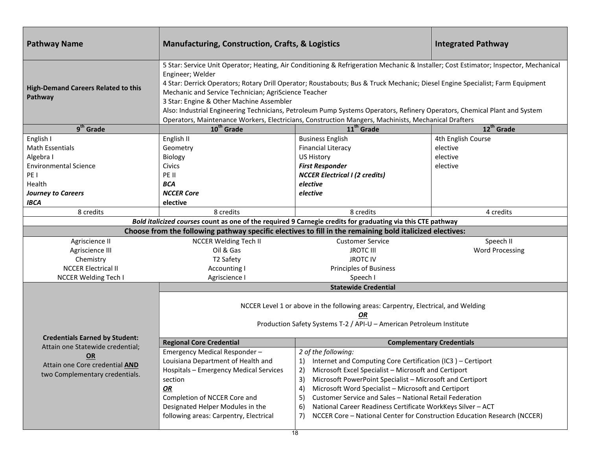| <b>Pathway Name</b>                                                                                                                 | <b>Manufacturing, Construction, Crafts, &amp; Logistics</b>                                                                                                                                                                                                                                                                                                                                                                                                                                                                                                                                                                       |                                                                                                                                                                                                                                                                                                                                                                                                                                                                                                             | <b>Integrated Pathway</b>                              |
|-------------------------------------------------------------------------------------------------------------------------------------|-----------------------------------------------------------------------------------------------------------------------------------------------------------------------------------------------------------------------------------------------------------------------------------------------------------------------------------------------------------------------------------------------------------------------------------------------------------------------------------------------------------------------------------------------------------------------------------------------------------------------------------|-------------------------------------------------------------------------------------------------------------------------------------------------------------------------------------------------------------------------------------------------------------------------------------------------------------------------------------------------------------------------------------------------------------------------------------------------------------------------------------------------------------|--------------------------------------------------------|
| <b>High-Demand Careers Related to this</b><br>Pathway                                                                               | 5 Star: Service Unit Operator; Heating, Air Conditioning & Refrigeration Mechanic & Installer; Cost Estimator; Inspector, Mechanical<br>Engineer; Welder<br>4 Star: Derrick Operators; Rotary Drill Operator; Roustabouts; Bus & Truck Mechanic; Diesel Engine Specialist; Farm Equipment<br>Mechanic and Service Technician; AgriScience Teacher<br>3 Star: Engine & Other Machine Assembler<br>Also: Industrial Engineering Technicians, Petroleum Pump Systems Operators, Refinery Operators, Chemical Plant and System<br>Operators, Maintenance Workers, Electricians, Construction Mangers, Machinists, Mechanical Drafters |                                                                                                                                                                                                                                                                                                                                                                                                                                                                                                             |                                                        |
| $9th$ Grade                                                                                                                         | 10 <sup>th</sup> Grade                                                                                                                                                                                                                                                                                                                                                                                                                                                                                                                                                                                                            | 11 <sup>th</sup> Grade                                                                                                                                                                                                                                                                                                                                                                                                                                                                                      | 12 <sup>th</sup> Grade                                 |
| English I<br><b>Math Essentials</b><br>Algebra I<br><b>Environmental Science</b><br>PE <sub>1</sub><br>Health<br>Journey to Careers | English II<br>Geometry<br>Biology<br>Civics<br>PE II<br><b>BCA</b><br><b>NCCER Core</b>                                                                                                                                                                                                                                                                                                                                                                                                                                                                                                                                           | <b>Business English</b><br><b>Financial Literacy</b><br><b>US History</b><br><b>First Responder</b><br><b>NCCER Electrical I (2 credits)</b><br>elective<br>elective                                                                                                                                                                                                                                                                                                                                        | 4th English Course<br>elective<br>elective<br>elective |
| <b>IBCA</b>                                                                                                                         | elective                                                                                                                                                                                                                                                                                                                                                                                                                                                                                                                                                                                                                          |                                                                                                                                                                                                                                                                                                                                                                                                                                                                                                             |                                                        |
| 8 credits                                                                                                                           | 8 credits                                                                                                                                                                                                                                                                                                                                                                                                                                                                                                                                                                                                                         | 8 credits                                                                                                                                                                                                                                                                                                                                                                                                                                                                                                   | 4 credits                                              |
|                                                                                                                                     | Bold italicized courses count as one of the required 9 Carnegie credits for graduating via this CTE pathway                                                                                                                                                                                                                                                                                                                                                                                                                                                                                                                       |                                                                                                                                                                                                                                                                                                                                                                                                                                                                                                             |                                                        |
|                                                                                                                                     | Choose from the following pathway specific electives to fill in the remaining bold italicized electives:                                                                                                                                                                                                                                                                                                                                                                                                                                                                                                                          |                                                                                                                                                                                                                                                                                                                                                                                                                                                                                                             |                                                        |
| Agriscience II<br>Agriscience III<br>Chemistry<br><b>NCCER Electrical II</b><br><b>NCCER Welding Tech I</b>                         | <b>NCCER Welding Tech II</b><br>Oil & Gas<br>T2 Safety<br><b>Accounting I</b><br>Agriscience                                                                                                                                                                                                                                                                                                                                                                                                                                                                                                                                      | <b>Customer Service</b><br><b>JROTC III</b><br><b>JROTCIV</b><br><b>Principles of Business</b><br>Speech I                                                                                                                                                                                                                                                                                                                                                                                                  | Speech II<br><b>Word Processing</b>                    |
|                                                                                                                                     |                                                                                                                                                                                                                                                                                                                                                                                                                                                                                                                                                                                                                                   | <b>Statewide Credential</b>                                                                                                                                                                                                                                                                                                                                                                                                                                                                                 |                                                        |
| <b>Credentials Earned by Student:</b>                                                                                               | NCCER Level 1 or above in the following areas: Carpentry, Electrical, and Welding<br>OR<br>Production Safety Systems T-2 / API-U - American Petroleum Institute                                                                                                                                                                                                                                                                                                                                                                                                                                                                   |                                                                                                                                                                                                                                                                                                                                                                                                                                                                                                             |                                                        |
| Attain one Statewide credential;                                                                                                    | <b>Regional Core Credential</b>                                                                                                                                                                                                                                                                                                                                                                                                                                                                                                                                                                                                   | <b>Complementary Credentials</b>                                                                                                                                                                                                                                                                                                                                                                                                                                                                            |                                                        |
| OR<br>Attain one Core credential <b>AND</b><br>two Complementary credentials.                                                       | Emergency Medical Responder-<br>Louisiana Department of Health and<br>Hospitals - Emergency Medical Services<br>section<br>OR<br>Completion of NCCER Core and<br>Designated Helper Modules in the<br>following areas: Carpentry, Electrical                                                                                                                                                                                                                                                                                                                                                                                       | 2 of the following:<br>1) Internet and Computing Core Certification (IC3) - Certiport<br>Microsoft Excel Specialist - Microsoft and Certiport<br>2)<br>Microsoft PowerPoint Specialist - Microsoft and Certiport<br>3)<br>Microsoft Word Specialist - Microsoft and Certiport<br>4)<br>Customer Service and Sales - National Retail Federation<br>5)<br>National Career Readiness Certificate WorkKeys Silver - ACT<br>6)<br>NCCER Core - National Center for Construction Education Research (NCCER)<br>7) |                                                        |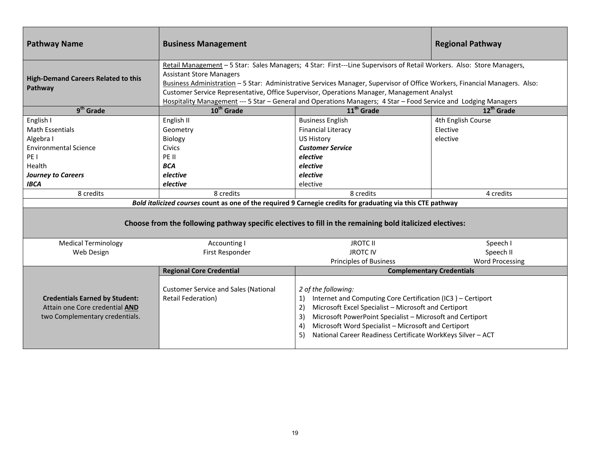| <b>Pathway Name</b>                                                                                                                                                    | <b>Business Management</b>                                                                                                                                                                                                                                                                                                                                                                                                                                                                              |                                                                                                                                                                                                                                                                                                                                                                                              | <b>Regional Pathway</b>                                    |
|------------------------------------------------------------------------------------------------------------------------------------------------------------------------|---------------------------------------------------------------------------------------------------------------------------------------------------------------------------------------------------------------------------------------------------------------------------------------------------------------------------------------------------------------------------------------------------------------------------------------------------------------------------------------------------------|----------------------------------------------------------------------------------------------------------------------------------------------------------------------------------------------------------------------------------------------------------------------------------------------------------------------------------------------------------------------------------------------|------------------------------------------------------------|
| <b>High-Demand Careers Related to this</b><br>Pathway                                                                                                                  | Retail Management - 5 Star: Sales Managers; 4 Star: First---Line Supervisors of Retail Workers. Also: Store Managers,<br><b>Assistant Store Managers</b><br>Business Administration - 5 Star: Administrative Services Manager, Supervisor of Office Workers, Financial Managers. Also:<br>Customer Service Representative, Office Supervisor, Operations Manager, Management Analyst<br>Hospitality Management --- 5 Star - General and Operations Managers; 4 Star - Food Service and Lodging Managers |                                                                                                                                                                                                                                                                                                                                                                                              |                                                            |
| $9th$ Grade                                                                                                                                                            | $10^{th}$ Grade                                                                                                                                                                                                                                                                                                                                                                                                                                                                                         | 11 <sup>th</sup> Grade                                                                                                                                                                                                                                                                                                                                                                       | $12^{th}$ Grade                                            |
| English I<br><b>Math Essentials</b><br>Algebra I<br><b>Environmental Science</b><br>PE <sub>1</sub><br>Health<br><b>Journey to Careers</b><br><b>IBCA</b><br>8 credits | English II<br>Geometry<br>Biology<br><b>Civics</b><br>PE II<br><b>BCA</b><br>elective<br>elective<br>8 credits                                                                                                                                                                                                                                                                                                                                                                                          | <b>Business English</b><br><b>Financial Literacy</b><br><b>US History</b><br><b>Customer Service</b><br>elective<br>elective<br>elective<br>elective<br>8 credits<br>Bold italicized courses count as one of the required 9 Carnegie credits for graduating via this CTE pathway<br>Choose from the following pathway specific electives to fill in the remaining bold italicized electives: | 4th English Course<br>Elective<br>elective<br>4 credits    |
| <b>Medical Terminology</b>                                                                                                                                             | Accounting I                                                                                                                                                                                                                                                                                                                                                                                                                                                                                            | <b>JROTC II</b>                                                                                                                                                                                                                                                                                                                                                                              | Speech I                                                   |
| Web Design                                                                                                                                                             | First Responder                                                                                                                                                                                                                                                                                                                                                                                                                                                                                         | <b>JROTCIV</b>                                                                                                                                                                                                                                                                                                                                                                               | Speech II                                                  |
|                                                                                                                                                                        | <b>Regional Core Credential</b>                                                                                                                                                                                                                                                                                                                                                                                                                                                                         | <b>Principles of Business</b>                                                                                                                                                                                                                                                                                                                                                                | <b>Word Processing</b><br><b>Complementary Credentials</b> |
| <b>Credentials Earned by Student:</b><br>Attain one Core credential AND<br>two Complementary credentials.                                                              | <b>Customer Service and Sales (National</b><br>Retail Federation)                                                                                                                                                                                                                                                                                                                                                                                                                                       | 2 of the following:<br>Internet and Computing Core Certification (IC3) - Certiport<br>1)<br>Microsoft Excel Specialist - Microsoft and Certiport<br>2)<br>Microsoft PowerPoint Specialist - Microsoft and Certiport<br>3)<br>Microsoft Word Specialist - Microsoft and Certiport<br>4)<br>National Career Readiness Certificate WorkKeys Silver - ACT<br>5)                                  |                                                            |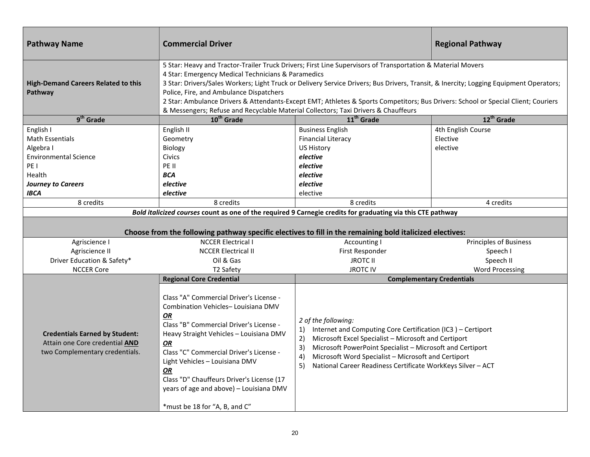| <b>Pathway Name</b>                                                                                                                                         | <b>Commercial Driver</b>                                                                                                                                                                                                                                                                                                                                                                                                                                                                                                                                                          |                                                                                                                                                                                                                                                                                                                                                                               | <b>Regional Pathway</b>                                 |
|-------------------------------------------------------------------------------------------------------------------------------------------------------------|-----------------------------------------------------------------------------------------------------------------------------------------------------------------------------------------------------------------------------------------------------------------------------------------------------------------------------------------------------------------------------------------------------------------------------------------------------------------------------------------------------------------------------------------------------------------------------------|-------------------------------------------------------------------------------------------------------------------------------------------------------------------------------------------------------------------------------------------------------------------------------------------------------------------------------------------------------------------------------|---------------------------------------------------------|
| <b>High-Demand Careers Related to this</b><br>Pathway                                                                                                       | 5 Star: Heavy and Tractor-Trailer Truck Drivers; First Line Supervisors of Transportation & Material Movers<br>4 Star: Emergency Medical Technicians & Paramedics<br>3 Star: Drivers/Sales Workers; Light Truck or Delivery Service Drivers; Bus Drivers, Transit, & Inercity; Logging Equipment Operators;<br>Police, Fire, and Ambulance Dispatchers<br>2 Star: Ambulance Drivers & Attendants-Except EMT; Athletes & Sports Competitors; Bus Drivers: School or Special Client; Couriers<br>& Messengers; Refuse and Recyclable Material Collectors; Taxi Drivers & Chauffeurs |                                                                                                                                                                                                                                                                                                                                                                               |                                                         |
| $9th$ Grade                                                                                                                                                 | 10 <sup>th</sup> Grade                                                                                                                                                                                                                                                                                                                                                                                                                                                                                                                                                            | 11 <sup>th</sup> Grade                                                                                                                                                                                                                                                                                                                                                        | 12 <sup>th</sup> Grade                                  |
| English I<br><b>Math Essentials</b><br>Algebra I<br><b>Environmental Science</b><br>PE I<br>Health<br><b>Journey to Careers</b><br><b>IBCA</b><br>8 credits | English II<br>Geometry<br>Biology<br>Civics<br>PE II<br><b>BCA</b><br>elective<br>elective<br>8 credits                                                                                                                                                                                                                                                                                                                                                                                                                                                                           | <b>Business English</b><br><b>Financial Literacy</b><br><b>US History</b><br>elective<br>elective<br>elective<br>elective<br>elective<br>8 credits<br>Bold italicized courses count as one of the required 9 Carnegie credits for graduating via this CTE pathway<br>Choose from the following pathway specific electives to fill in the remaining bold italicized electives: | 4th English Course<br>Elective<br>elective<br>4 credits |
| Agriscience I                                                                                                                                               | <b>NCCER Electrical I</b>                                                                                                                                                                                                                                                                                                                                                                                                                                                                                                                                                         | Accounting I                                                                                                                                                                                                                                                                                                                                                                  | <b>Principles of Business</b>                           |
| Agriscience II                                                                                                                                              | <b>NCCER Electrical II</b>                                                                                                                                                                                                                                                                                                                                                                                                                                                                                                                                                        | First Responder                                                                                                                                                                                                                                                                                                                                                               | Speech I                                                |
| Driver Education & Safety*                                                                                                                                  | Oil & Gas                                                                                                                                                                                                                                                                                                                                                                                                                                                                                                                                                                         | <b>JROTC II</b>                                                                                                                                                                                                                                                                                                                                                               | Speech II                                               |
| <b>NCCER Core</b>                                                                                                                                           | T2 Safety                                                                                                                                                                                                                                                                                                                                                                                                                                                                                                                                                                         | <b>JROTC IV</b>                                                                                                                                                                                                                                                                                                                                                               | <b>Word Processing</b>                                  |
|                                                                                                                                                             | <b>Regional Core Credential</b>                                                                                                                                                                                                                                                                                                                                                                                                                                                                                                                                                   |                                                                                                                                                                                                                                                                                                                                                                               | <b>Complementary Credentials</b>                        |
| <b>Credentials Earned by Student:</b><br>Attain one Core credential AND<br>two Complementary credentials.                                                   | Class "A" Commercial Driver's License -<br>Combination Vehicles-Louisiana DMV<br><b>OR</b><br>Class "B" Commercial Driver's License -<br>Heavy Straight Vehicles - Louisiana DMV<br>OR<br>Class "C" Commercial Driver's License -<br>Light Vehicles - Louisiana DMV<br>OR<br>Class "D" Chauffeurs Driver's License (17<br>years of age and above) - Louisiana DMV<br>*must be 18 for "A, B, and C"                                                                                                                                                                                | 2 of the following:<br>Internet and Computing Core Certification (IC3) - Certiport<br>1)<br>2)<br>Microsoft Excel Specialist - Microsoft and Certiport<br>3)<br>Microsoft PowerPoint Specialist - Microsoft and Certiport<br>Microsoft Word Specialist - Microsoft and Certiport<br>4)<br>National Career Readiness Certificate WorkKeys Silver - ACT<br>5)                   |                                                         |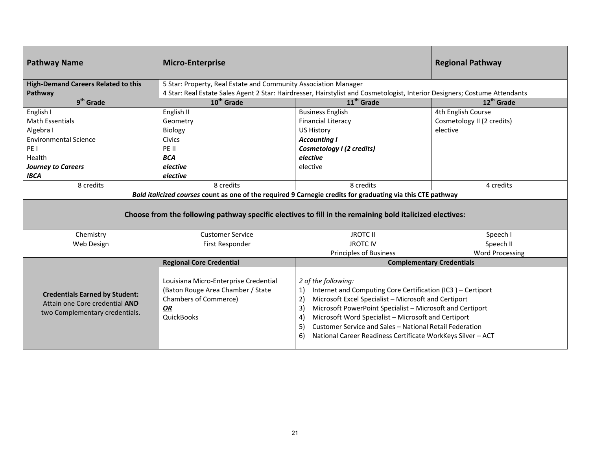| <b>Pathway Name</b>                                                                                       | <b>Micro-Enterprise</b>                                                                                                               |                                                                                                                                                                                                                                                                                                                                                                                                                              | <b>Regional Pathway</b>          |
|-----------------------------------------------------------------------------------------------------------|---------------------------------------------------------------------------------------------------------------------------------------|------------------------------------------------------------------------------------------------------------------------------------------------------------------------------------------------------------------------------------------------------------------------------------------------------------------------------------------------------------------------------------------------------------------------------|----------------------------------|
| <b>High-Demand Careers Related to this</b>                                                                | 5 Star: Property, Real Estate and Community Association Manager                                                                       |                                                                                                                                                                                                                                                                                                                                                                                                                              |                                  |
| Pathway                                                                                                   |                                                                                                                                       | 4 Star: Real Estate Sales Agent 2 Star: Hairdresser, Hairstylist and Cosmetologist, Interior Designers; Costume Attendants                                                                                                                                                                                                                                                                                                   |                                  |
| $9th$ Grade                                                                                               | 10 <sup>th</sup> Grade                                                                                                                | 11 <sup>th</sup> Grade                                                                                                                                                                                                                                                                                                                                                                                                       | 12 <sup>th</sup> Grade           |
| English I                                                                                                 | English II                                                                                                                            | <b>Business English</b>                                                                                                                                                                                                                                                                                                                                                                                                      | 4th English Course               |
| <b>Math Essentials</b>                                                                                    | Geometry                                                                                                                              | <b>Financial Literacy</b>                                                                                                                                                                                                                                                                                                                                                                                                    | Cosmetology II (2 credits)       |
| Algebra I                                                                                                 | Biology                                                                                                                               | <b>US History</b>                                                                                                                                                                                                                                                                                                                                                                                                            | elective                         |
| <b>Environmental Science</b>                                                                              | <b>Civics</b>                                                                                                                         | <b>Accounting I</b>                                                                                                                                                                                                                                                                                                                                                                                                          |                                  |
| PE <sub>1</sub>                                                                                           | PE II                                                                                                                                 | Cosmetology I (2 credits)                                                                                                                                                                                                                                                                                                                                                                                                    |                                  |
| Health                                                                                                    | <b>BCA</b>                                                                                                                            | elective                                                                                                                                                                                                                                                                                                                                                                                                                     |                                  |
| <b>Journey to Careers</b>                                                                                 | elective                                                                                                                              | elective                                                                                                                                                                                                                                                                                                                                                                                                                     |                                  |
| <b>IBCA</b>                                                                                               | elective                                                                                                                              |                                                                                                                                                                                                                                                                                                                                                                                                                              |                                  |
| 8 credits                                                                                                 | 8 credits                                                                                                                             | 8 credits                                                                                                                                                                                                                                                                                                                                                                                                                    | 4 credits                        |
|                                                                                                           |                                                                                                                                       | Bold italicized courses count as one of the required 9 Carnegie credits for graduating via this CTE pathway                                                                                                                                                                                                                                                                                                                  |                                  |
|                                                                                                           |                                                                                                                                       | Choose from the following pathway specific electives to fill in the remaining bold italicized electives:                                                                                                                                                                                                                                                                                                                     |                                  |
| Chemistry                                                                                                 | <b>Customer Service</b>                                                                                                               | <b>JROTC II</b>                                                                                                                                                                                                                                                                                                                                                                                                              | Speech I                         |
| Web Design                                                                                                | First Responder                                                                                                                       | <b>JROTC IV</b>                                                                                                                                                                                                                                                                                                                                                                                                              | Speech II                        |
|                                                                                                           |                                                                                                                                       | <b>Principles of Business</b>                                                                                                                                                                                                                                                                                                                                                                                                | <b>Word Processing</b>           |
|                                                                                                           | <b>Regional Core Credential</b>                                                                                                       |                                                                                                                                                                                                                                                                                                                                                                                                                              | <b>Complementary Credentials</b> |
| <b>Credentials Earned by Student:</b><br>Attain one Core credential AND<br>two Complementary credentials. | Louisiana Micro-Enterprise Credential<br>(Baton Rouge Area Chamber / State<br><b>Chambers of Commerce)</b><br>OR<br><b>QuickBooks</b> | 2 of the following:<br>Internet and Computing Core Certification (IC3) - Certiport<br>1)<br>2)<br>Microsoft Excel Specialist - Microsoft and Certiport<br>Microsoft PowerPoint Specialist - Microsoft and Certiport<br>3)<br>Microsoft Word Specialist - Microsoft and Certiport<br>4)<br>Customer Service and Sales - National Retail Federation<br>5)<br>National Career Readiness Certificate WorkKeys Silver - ACT<br>6) |                                  |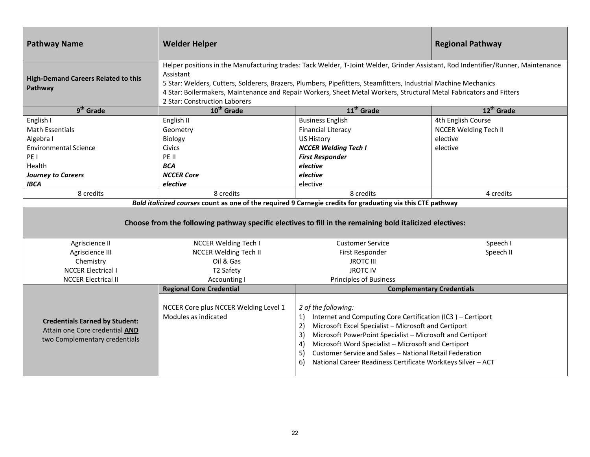| <b>Pathway Name</b>                                                                                                                                                                                                     | <b>Welder Helper</b>                                                                                                                                                                                                                                                                                                                                                                                                      |                                                                                                                                                                                                                                                                                                                                                                                                                              | <b>Regional Pathway</b>      |  |  |  |
|-------------------------------------------------------------------------------------------------------------------------------------------------------------------------------------------------------------------------|---------------------------------------------------------------------------------------------------------------------------------------------------------------------------------------------------------------------------------------------------------------------------------------------------------------------------------------------------------------------------------------------------------------------------|------------------------------------------------------------------------------------------------------------------------------------------------------------------------------------------------------------------------------------------------------------------------------------------------------------------------------------------------------------------------------------------------------------------------------|------------------------------|--|--|--|
| <b>High-Demand Careers Related to this</b><br>Pathway                                                                                                                                                                   | Helper positions in the Manufacturing trades: Tack Welder, T-Joint Welder, Grinder Assistant, Rod Indentifier/Runner, Maintenance<br>Assistant<br>5 Star: Welders, Cutters, Solderers, Brazers, Plumbers, Pipefitters, Steamfitters, Industrial Machine Mechanics<br>4 Star: Boilermakers, Maintenance and Repair Workers, Sheet Metal Workers, Structural Metal Fabricators and Fitters<br>2 Star: Construction Laborers |                                                                                                                                                                                                                                                                                                                                                                                                                              |                              |  |  |  |
| 9 <sup>th</sup> Grade                                                                                                                                                                                                   | 10 <sup>th</sup> Grade                                                                                                                                                                                                                                                                                                                                                                                                    | 11 <sup>th</sup> Grade                                                                                                                                                                                                                                                                                                                                                                                                       | 12 <sup>th</sup> Grade       |  |  |  |
| English I                                                                                                                                                                                                               | English II                                                                                                                                                                                                                                                                                                                                                                                                                | <b>Business English</b>                                                                                                                                                                                                                                                                                                                                                                                                      | 4th English Course           |  |  |  |
| <b>Math Essentials</b>                                                                                                                                                                                                  | Geometry                                                                                                                                                                                                                                                                                                                                                                                                                  | <b>Financial Literacy</b>                                                                                                                                                                                                                                                                                                                                                                                                    | <b>NCCER Welding Tech II</b> |  |  |  |
| Algebra I                                                                                                                                                                                                               | <b>Biology</b>                                                                                                                                                                                                                                                                                                                                                                                                            | <b>US History</b>                                                                                                                                                                                                                                                                                                                                                                                                            | elective                     |  |  |  |
| <b>Environmental Science</b>                                                                                                                                                                                            | <b>Civics</b>                                                                                                                                                                                                                                                                                                                                                                                                             | <b>NCCER Welding Tech I</b>                                                                                                                                                                                                                                                                                                                                                                                                  | elective                     |  |  |  |
| PE I                                                                                                                                                                                                                    | PE II                                                                                                                                                                                                                                                                                                                                                                                                                     | <b>First Responder</b>                                                                                                                                                                                                                                                                                                                                                                                                       |                              |  |  |  |
| Health                                                                                                                                                                                                                  | <b>BCA</b>                                                                                                                                                                                                                                                                                                                                                                                                                | elective                                                                                                                                                                                                                                                                                                                                                                                                                     |                              |  |  |  |
| <b>Journey to Careers</b>                                                                                                                                                                                               | <b>NCCER Core</b>                                                                                                                                                                                                                                                                                                                                                                                                         | elective                                                                                                                                                                                                                                                                                                                                                                                                                     |                              |  |  |  |
| <b>IBCA</b>                                                                                                                                                                                                             | elective                                                                                                                                                                                                                                                                                                                                                                                                                  | elective                                                                                                                                                                                                                                                                                                                                                                                                                     |                              |  |  |  |
| 8 credits                                                                                                                                                                                                               | 8 credits                                                                                                                                                                                                                                                                                                                                                                                                                 | 8 credits                                                                                                                                                                                                                                                                                                                                                                                                                    | 4 credits                    |  |  |  |
| Bold italicized courses count as one of the required 9 Carnegie credits for graduating via this CTE pathway<br>Choose from the following pathway specific electives to fill in the remaining bold italicized electives: |                                                                                                                                                                                                                                                                                                                                                                                                                           |                                                                                                                                                                                                                                                                                                                                                                                                                              |                              |  |  |  |
| Agriscience II                                                                                                                                                                                                          | <b>NCCER Welding Tech I</b>                                                                                                                                                                                                                                                                                                                                                                                               | <b>Customer Service</b>                                                                                                                                                                                                                                                                                                                                                                                                      | Speech I                     |  |  |  |
| Agriscience III                                                                                                                                                                                                         | <b>NCCER Welding Tech II</b>                                                                                                                                                                                                                                                                                                                                                                                              | First Responder                                                                                                                                                                                                                                                                                                                                                                                                              | Speech II                    |  |  |  |
| Chemistry                                                                                                                                                                                                               | Oil & Gas                                                                                                                                                                                                                                                                                                                                                                                                                 | <b>JROTC III</b>                                                                                                                                                                                                                                                                                                                                                                                                             |                              |  |  |  |
| <b>NCCER Electrical I</b>                                                                                                                                                                                               | T2 Safety                                                                                                                                                                                                                                                                                                                                                                                                                 | <b>JROTC IV</b>                                                                                                                                                                                                                                                                                                                                                                                                              |                              |  |  |  |
| <b>NCCER Electrical II</b>                                                                                                                                                                                              | Accounting I                                                                                                                                                                                                                                                                                                                                                                                                              | <b>Principles of Business</b>                                                                                                                                                                                                                                                                                                                                                                                                |                              |  |  |  |
|                                                                                                                                                                                                                         | <b>Regional Core Credential</b>                                                                                                                                                                                                                                                                                                                                                                                           | <b>Complementary Credentials</b>                                                                                                                                                                                                                                                                                                                                                                                             |                              |  |  |  |
| <b>Credentials Earned by Student:</b><br>Attain one Core credential AND<br>two Complementary credentials                                                                                                                | NCCER Core plus NCCER Welding Level 1<br>Modules as indicated                                                                                                                                                                                                                                                                                                                                                             | 2 of the following:<br>Internet and Computing Core Certification (IC3) - Certiport<br>1)<br>Microsoft Excel Specialist - Microsoft and Certiport<br>2)<br>Microsoft PowerPoint Specialist - Microsoft and Certiport<br>3)<br>Microsoft Word Specialist - Microsoft and Certiport<br>4)<br>Customer Service and Sales - National Retail Federation<br>5)<br>National Career Readiness Certificate WorkKeys Silver - ACT<br>6) |                              |  |  |  |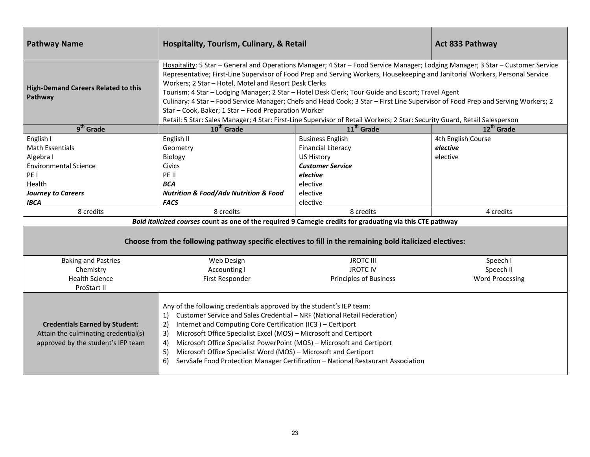| <b>Pathway Name</b>                                                                                                                                                    | Hospitality, Tourism, Culinary, & Retail                                                                                                                                                                                                                                                                                                                                                                                                                                                                                                                                                                                                                                                                                                                 |                                                                                                                                                                                                                                                                                  | <b>Act 833 Pathway</b>                                  |  |  |  |
|------------------------------------------------------------------------------------------------------------------------------------------------------------------------|----------------------------------------------------------------------------------------------------------------------------------------------------------------------------------------------------------------------------------------------------------------------------------------------------------------------------------------------------------------------------------------------------------------------------------------------------------------------------------------------------------------------------------------------------------------------------------------------------------------------------------------------------------------------------------------------------------------------------------------------------------|----------------------------------------------------------------------------------------------------------------------------------------------------------------------------------------------------------------------------------------------------------------------------------|---------------------------------------------------------|--|--|--|
| <b>High-Demand Careers Related to this</b><br>Pathway                                                                                                                  | Hospitality: 5 Star - General and Operations Manager; 4 Star - Food Service Manager; Lodging Manager; 3 Star - Customer Service<br>Representative; First-Line Supervisor of Food Prep and Serving Workers, Housekeeping and Janitorial Workers, Personal Service<br>Workers; 2 Star - Hotel, Motel and Resort Desk Clerks<br>Tourism: 4 Star - Lodging Manager; 2 Star - Hotel Desk Clerk; Tour Guide and Escort; Travel Agent<br>Culinary: 4 Star - Food Service Manager; Chefs and Head Cook; 3 Star - First Line Supervisor of Food Prep and Serving Workers; 2<br>Star - Cook, Baker; 1 Star - Food Preparation Worker<br>Retail: 5 Star: Sales Manager; 4 Star: First-Line Supervisor of Retail Workers; 2 Star: Security Guard, Retail Salesperson |                                                                                                                                                                                                                                                                                  |                                                         |  |  |  |
| $9th$ Grade                                                                                                                                                            | 10 <sup>th</sup> Grade                                                                                                                                                                                                                                                                                                                                                                                                                                                                                                                                                                                                                                                                                                                                   | 11 <sup>th</sup> Grade                                                                                                                                                                                                                                                           | 12 <sup>th</sup> Grade                                  |  |  |  |
| English I<br><b>Math Essentials</b><br>Algebra I<br><b>Environmental Science</b><br>PE <sub>1</sub><br>Health<br><b>Journey to Careers</b><br><b>IBCA</b><br>8 credits | English II<br>Geometry<br>Biology<br><b>Civics</b><br>PE II<br><b>BCA</b><br><b>Nutrition &amp; Food/Adv Nutrition &amp; Food</b><br><b>FACS</b><br>8 credits                                                                                                                                                                                                                                                                                                                                                                                                                                                                                                                                                                                            | <b>Business English</b><br><b>Financial Literacy</b><br><b>US History</b><br><b>Customer Service</b><br>elective<br>elective<br>elective<br>elective<br>8 credits<br>Bold italicized courses count as one of the required 9 Carnegie credits for graduating via this CTE pathway | 4th English Course<br>elective<br>elective<br>4 credits |  |  |  |
| Choose from the following pathway specific electives to fill in the remaining bold italicized electives:                                                               |                                                                                                                                                                                                                                                                                                                                                                                                                                                                                                                                                                                                                                                                                                                                                          |                                                                                                                                                                                                                                                                                  |                                                         |  |  |  |
| <b>Baking and Pastries</b><br>Chemistry<br><b>Health Science</b><br>ProStart II                                                                                        | Web Design<br>Accounting I<br>First Responder                                                                                                                                                                                                                                                                                                                                                                                                                                                                                                                                                                                                                                                                                                            | <b>JROTC III</b><br><b>JROTC IV</b><br><b>Principles of Business</b>                                                                                                                                                                                                             | Speech I<br>Speech II<br><b>Word Processing</b>         |  |  |  |
| <b>Credentials Earned by Student:</b><br>Attain the culminating credential(s)<br>approved by the student's IEP team                                                    | Any of the following credentials approved by the student's IEP team:<br>Customer Service and Sales Credential - NRF (National Retail Federation)<br>1)<br>Internet and Computing Core Certification (IC3) - Certiport<br>2)<br>Microsoft Office Specialist Excel (MOS) - Microsoft and Certiport<br>3)<br>Microsoft Office Specialist PowerPoint (MOS) - Microsoft and Certiport<br>4)<br>Microsoft Office Specialist Word (MOS) - Microsoft and Certiport<br>5)<br>ServSafe Food Protection Manager Certification - National Restaurant Association<br>6)                                                                                                                                                                                               |                                                                                                                                                                                                                                                                                  |                                                         |  |  |  |